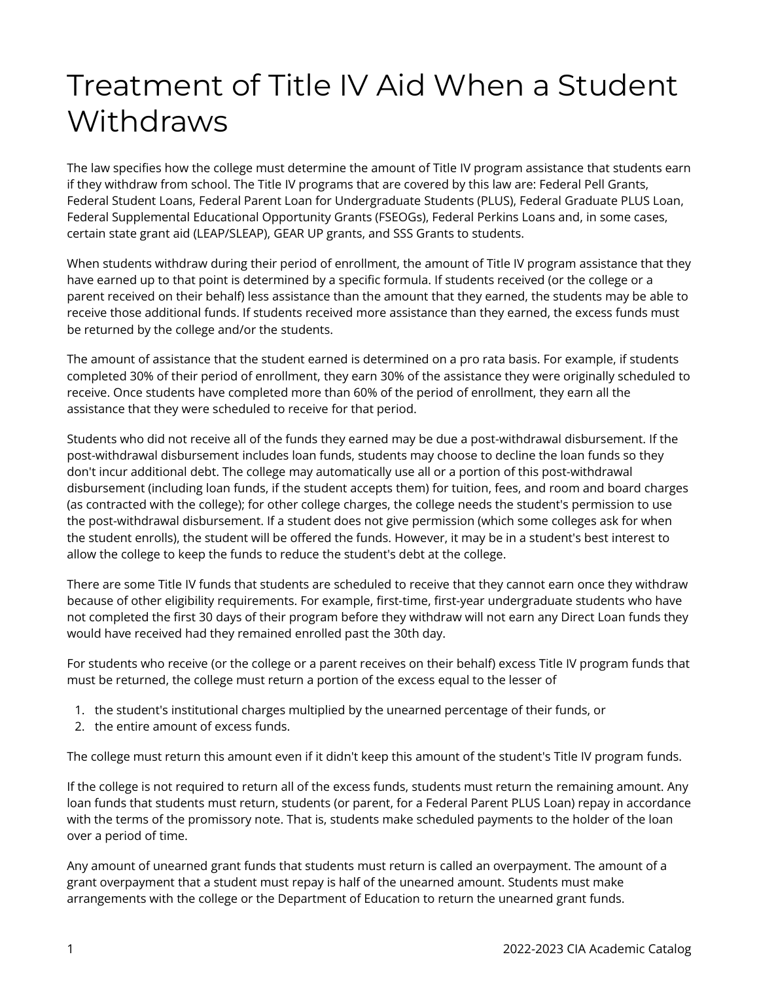## Treatment of Title IV Aid When a Student Withdraws

The law specifies how the college must determine the amount of Title IV program assistance that students earn if they withdraw from school. The Title IV programs that are covered by this law are: Federal Pell Grants, Federal Student Loans, Federal Parent Loan for Undergraduate Students (PLUS), Federal Graduate PLUS Loan, Federal Supplemental Educational Opportunity Grants (FSEOGs), Federal Perkins Loans and, in some cases, certain state grant aid (LEAP/SLEAP), GEAR UP grants, and SSS Grants to students.

When students withdraw during their period of enrollment, the amount of Title IV program assistance that they have earned up to that point is determined by a specific formula. If students received (or the college or a parent received on their behalf) less assistance than the amount that they earned, the students may be able to receive those additional funds. If students received more assistance than they earned, the excess funds must be returned by the college and/or the students.

The amount of assistance that the student earned is determined on a pro rata basis. For example, if students completed 30% of their period of enrollment, they earn 30% of the assistance they were originally scheduled to receive. Once students have completed more than 60% of the period of enrollment, they earn all the assistance that they were scheduled to receive for that period.

Students who did not receive all of the funds they earned may be due a post-withdrawal disbursement. If the post-withdrawal disbursement includes loan funds, students may choose to decline the loan funds so they don't incur additional debt. The college may automatically use all or a portion of this post-withdrawal disbursement (including loan funds, if the student accepts them) for tuition, fees, and room and board charges (as contracted with the college); for other college charges, the college needs the student's permission to use the post-withdrawal disbursement. If a student does not give permission (which some colleges ask for when the student enrolls), the student will be offered the funds. However, it may be in a student's best interest to allow the college to keep the funds to reduce the student's debt at the college.

There are some Title IV funds that students are scheduled to receive that they cannot earn once they withdraw because of other eligibility requirements. For example, first-time, first-year undergraduate students who have not completed the first 30 days of their program before they withdraw will not earn any Direct Loan funds they would have received had they remained enrolled past the 30th day.

For students who receive (or the college or a parent receives on their behalf) excess Title IV program funds that must be returned, the college must return a portion of the excess equal to the lesser of

- 1. the student's institutional charges multiplied by the unearned percentage of their funds, or
- 2. the entire amount of excess funds.

The college must return this amount even if it didn't keep this amount of the student's Title IV program funds.

If the college is not required to return all of the excess funds, students must return the remaining amount. Any loan funds that students must return, students (or parent, for a Federal Parent PLUS Loan) repay in accordance with the terms of the promissory note. That is, students make scheduled payments to the holder of the loan over a period of time.

Any amount of unearned grant funds that students must return is called an overpayment. The amount of a grant overpayment that a student must repay is half of the unearned amount. Students must make arrangements with the college or the Department of Education to return the unearned grant funds.